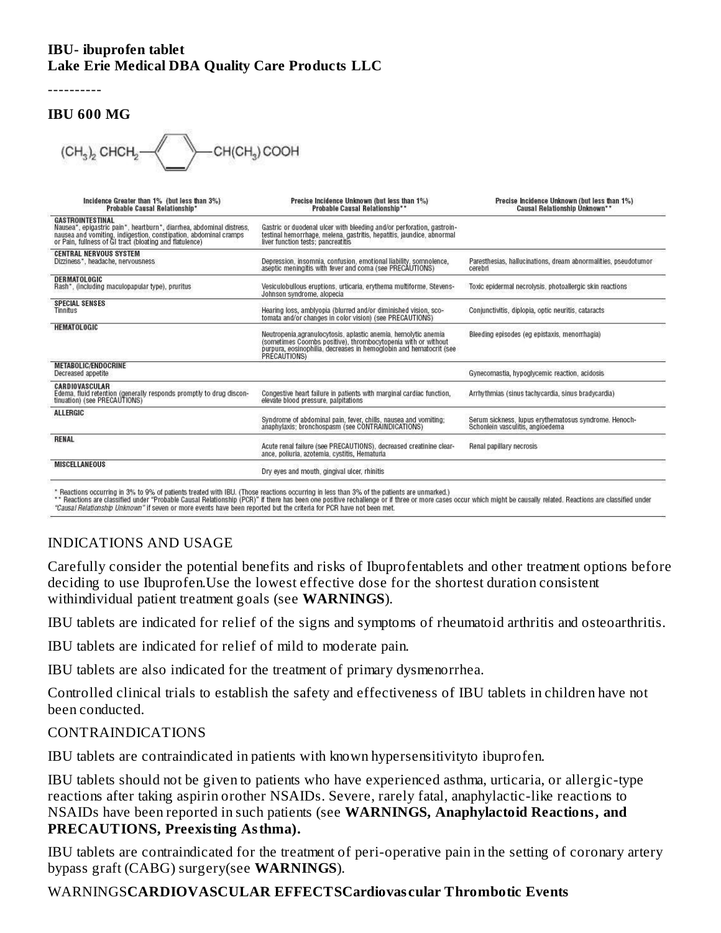#### **IBU- ibuprofen tablet Lake Erie Medical DBA Quality Care Products LLC**

----------

#### **IBU 600 MG**

 $(CH_3)_2$  CHCH<sub>2</sub>- $\leftarrow$  CH(CH<sub>3</sub>) COOH

| Incidence Greater than 1% (but less than 3%)<br>Probable Causal Relationship*                                                                                                                                            | Precise Incidence Unknown (but less than 1%)<br>Probable Causal Relationship**                                                                                                                                         | Precise Incidence Unknown (but less than 1%)<br>Causal Relationship Unknown**             |
|--------------------------------------------------------------------------------------------------------------------------------------------------------------------------------------------------------------------------|------------------------------------------------------------------------------------------------------------------------------------------------------------------------------------------------------------------------|-------------------------------------------------------------------------------------------|
| <b>GASTROINTESTINAL</b><br>Nausea*, epigastric pain*, heartburn*, diarrhea, abdominal distress, nausea and vomiting, indigestion, constipation, abdominal cramps or Pain, fullness of GI tract (bloating and flatulence) | Gastric or duodenal ulcer with bleeding and/or perforation, gastroin-<br>testinal hemorrhage, melena, gastritis, hepatitis, jaundice, abnormal<br>liver function tests; pancreatitis                                   |                                                                                           |
| <b>CENTRAL NERVOUS SYSTEM</b><br>Dizziness*, headache, nervousness                                                                                                                                                       | Depression, insomnia, confusion, emotional liability, somnolence,<br>aseptic meningitis with fever and coma (see PRECAUTIONS)                                                                                          | Paresthesias, hallucinations, dream abnormalities, pseudotumor<br>cerebri                 |
| <b>DERMATOLOGIC</b><br>Rash*, (including maculopapular type), pruritus                                                                                                                                                   | Vesiculobullous eruptions, urticaria, erythema multiforme, Stevens-<br>Johnson syndrome, alopecia                                                                                                                      | Toxic epidermal necrolysis, photoallergic skin reactions                                  |
| <b>SPECIAL SENSES</b><br>Tinnitus                                                                                                                                                                                        | Hearing loss, amblyopia (blurred and/or diminished vision, sco-<br>tomata and/or changes in color vision) (see PRECAUTIONS)                                                                                            | Conjunctivitis, diplopia, optic neuritis, cataracts                                       |
| <b>HEMATOLOGIC</b>                                                                                                                                                                                                       | Neutropenia, agranulocytosis, aplastic anemia, hemolytic anemia<br>(sometimes Coombs positive), thrombocytopenia with or without<br>purpura, eosinophilia, decreases in hemoglobin and hematocrit (see<br>PRECAUTIONS) | Bleeding episodes (eg epistaxis, menomhagia)                                              |
| <b>METABOLIC/ENDOCRINE</b><br>Decreased appetite                                                                                                                                                                         |                                                                                                                                                                                                                        | Gynecomastia, hypoglycemic reaction, acidosis                                             |
| CARDIOVASCULAR<br>Edema, fluid retention (generally responds promptly to drug discontinuation) (see PRECAUTIONS)                                                                                                         | Congestive heart failure in patients with marginal cardiac function.<br>elevate blood pressure, palpitations                                                                                                           | Arrhythmias (sinus tachycardia, sinus bradycardia)                                        |
| <b>ALLERGIC</b>                                                                                                                                                                                                          | Syndrome of abdominal pain, fever, chills, nausea and vomiting;<br>anaphylaxis; bronchospasm (see CONTRAINDICATIONS)                                                                                                   | Serum sickness, lupus erythematosus syndrome. Henoch-<br>Schonlein vasculitis, angioedema |
| <b>RENAL</b>                                                                                                                                                                                                             | Acute renal failure (see PRECAUTIONS), decreased creatinine clear-<br>ance, poliuria, azotemia, cystitis, Hematuria                                                                                                    | Renal papillary necrosis                                                                  |
| <b>MISCELLANEOUS</b>                                                                                                                                                                                                     | Dry eyes and mouth, gingival ulcer, rhinitis                                                                                                                                                                           |                                                                                           |

\* Reactions occurring in 3% to 9% of patients treated with IBU. (Those reactions occurring in less than 3% of the patients are unmarked.)<br>\*\* Reactions are classified under "Probable Causal Relationship (PCR)" if there has "Causal Relationship Unknown" if seven or more events have been reported but the criteria for PCR have not been met.

#### INDICATIONS AND USAGE

Carefully consider the potential benefits and risks of Ibuprofentablets and other treatment options before deciding to use Ibuprofen.Use the lowest effective dose for the shortest duration consistent withindividual patient treatment goals (see **WARNINGS**).

IBU tablets are indicated for relief of the signs and symptoms of rheumatoid arthritis and osteoarthritis.

IBU tablets are indicated for relief of mild to moderate pain.

IBU tablets are also indicated for the treatment of primary dysmenorrhea.

Controlled clinical trials to establish the safety and effectiveness of IBU tablets in children have not been conducted.

#### CONTRAINDICATIONS

IBU tablets are contraindicated in patients with known hypersensitivityto ibuprofen.

IBU tablets should not be given to patients who have experienced asthma, urticaria, or allergic-type reactions after taking aspirin orother NSAIDs. Severe, rarely fatal, anaphylactic-like reactions to NSAIDs have been reported in such patients (see **WARNINGS, Anaphylactoid Reactions, and PRECAUTIONS, Preexisting Asthma).**

IBU tablets are contraindicated for the treatment of peri-operative pain in the setting of coronary artery bypass graft (CABG) surgery(see **WARNINGS**).

#### WARNINGS**CARDIOVASCULAR EFFECTSCardiovas cular Thrombotic Events**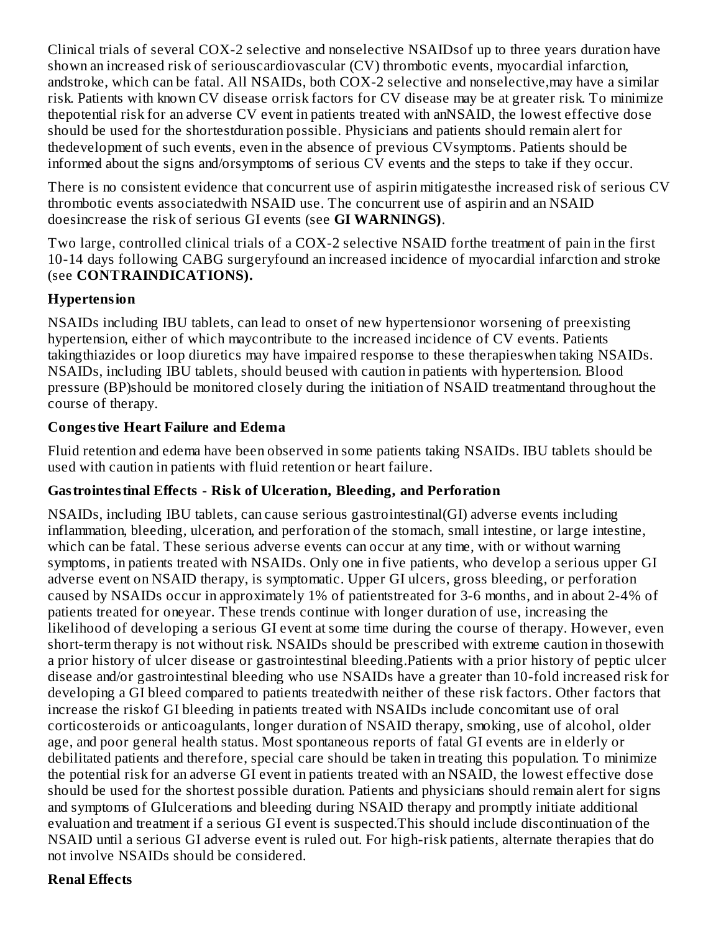Clinical trials of several COX-2 selective and nonselective NSAIDsof up to three years duration have shown an increased risk of seriouscardiovascular (CV) thrombotic events, myocardial infarction, andstroke, which can be fatal. All NSAIDs, both COX-2 selective and nonselective,may have a similar risk. Patients with known CV disease orrisk factors for CV disease may be at greater risk. To minimize thepotential risk for an adverse CV event in patients treated with anNSAID, the lowest effective dose should be used for the shortestduration possible. Physicians and patients should remain alert for thedevelopment of such events, even in the absence of previous CVsymptoms. Patients should be informed about the signs and/orsymptoms of serious CV events and the steps to take if they occur.

There is no consistent evidence that concurrent use of aspirin mitigatesthe increased risk of serious CV thrombotic events associatedwith NSAID use. The concurrent use of aspirin and an NSAID doesincrease the risk of serious GI events (see **GI WARNINGS)**.

Two large, controlled clinical trials of a COX-2 selective NSAID forthe treatment of pain in the first 10-14 days following CABG surgeryfound an increased incidence of myocardial infarction and stroke (see **CONTRAINDICATIONS).**

#### **Hypertension**

NSAIDs including IBU tablets, can lead to onset of new hypertensionor worsening of preexisting hypertension, either of which maycontribute to the increased incidence of CV events. Patients takingthiazides or loop diuretics may have impaired response to these therapieswhen taking NSAIDs. NSAIDs, including IBU tablets, should beused with caution in patients with hypertension. Blood pressure (BP)should be monitored closely during the initiation of NSAID treatmentand throughout the course of therapy.

### **Congestive Heart Failure and Edema**

Fluid retention and edema have been observed in some patients taking NSAIDs. IBU tablets should be used with caution in patients with fluid retention or heart failure.

### **Gastrointestinal Effects - Risk of Ulceration, Bleeding, and Perforation**

NSAIDs, including IBU tablets, can cause serious gastrointestinal(GI) adverse events including inflammation, bleeding, ulceration, and perforation of the stomach, small intestine, or large intestine, which can be fatal. These serious adverse events can occur at any time, with or without warning symptoms, in patients treated with NSAIDs. Only one in five patients, who develop a serious upper GI adverse event on NSAID therapy, is symptomatic. Upper GI ulcers, gross bleeding, or perforation caused by NSAIDs occur in approximately 1% of patientstreated for 3-6 months, and in about 2-4% of patients treated for oneyear. These trends continue with longer duration of use, increasing the likelihood of developing a serious GI event at some time during the course of therapy. However, even short-term therapy is not without risk. NSAIDs should be prescribed with extreme caution in thosewith a prior history of ulcer disease or gastrointestinal bleeding.Patients with a prior history of peptic ulcer disease and/or gastrointestinal bleeding who use NSAIDs have a greater than 10-fold increased risk for developing a GI bleed compared to patients treatedwith neither of these risk factors. Other factors that increase the riskof GI bleeding in patients treated with NSAIDs include concomitant use of oral corticosteroids or anticoagulants, longer duration of NSAID therapy, smoking, use of alcohol, older age, and poor general health status. Most spontaneous reports of fatal GI events are in elderly or debilitated patients and therefore, special care should be taken in treating this population. To minimize the potential risk for an adverse GI event in patients treated with an NSAID, the lowest effective dose should be used for the shortest possible duration. Patients and physicians should remain alert for signs and symptoms of GIulcerations and bleeding during NSAID therapy and promptly initiate additional evaluation and treatment if a serious GI event is suspected.This should include discontinuation of the NSAID until a serious GI adverse event is ruled out. For high-risk patients, alternate therapies that do not involve NSAIDs should be considered.

### **Renal Effects**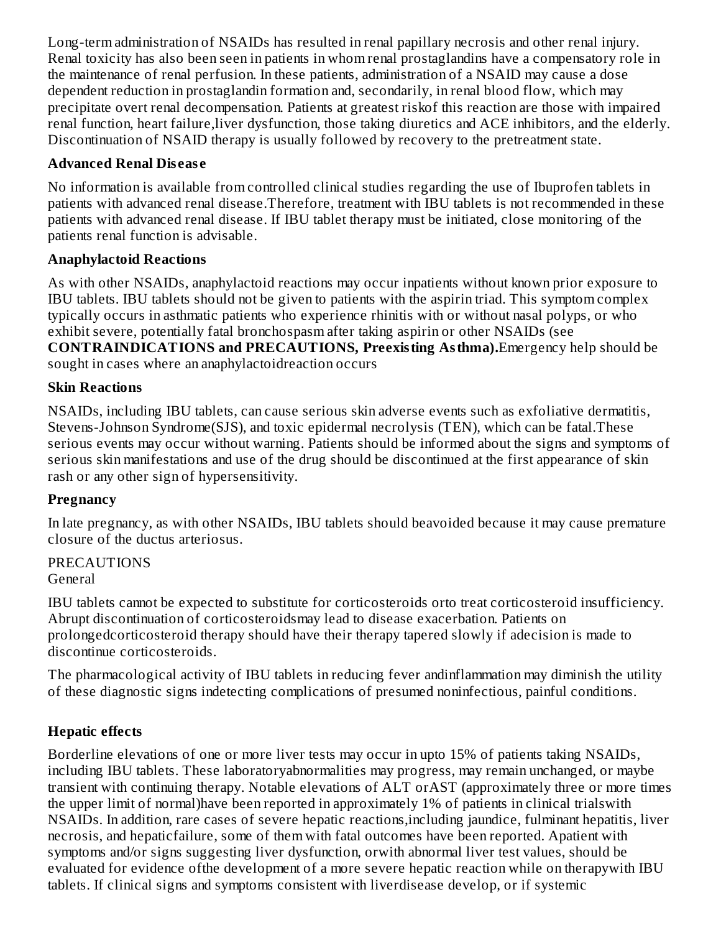Long-term administration of NSAIDs has resulted in renal papillary necrosis and other renal injury. Renal toxicity has also been seen in patients in whom renal prostaglandins have a compensatory role in the maintenance of renal perfusion. In these patients, administration of a NSAID may cause a dose dependent reduction in prostaglandin formation and, secondarily, in renal blood flow, which may precipitate overt renal decompensation. Patients at greatest riskof this reaction are those with impaired renal function, heart failure,liver dysfunction, those taking diuretics and ACE inhibitors, and the elderly. Discontinuation of NSAID therapy is usually followed by recovery to the pretreatment state.

### **Advanced Renal Dis eas e**

No information is available from controlled clinical studies regarding the use of Ibuprofen tablets in patients with advanced renal disease.Therefore, treatment with IBU tablets is not recommended in these patients with advanced renal disease. If IBU tablet therapy must be initiated, close monitoring of the patients renal function is advisable.

### **Anaphylactoid Reactions**

As with other NSAIDs, anaphylactoid reactions may occur inpatients without known prior exposure to IBU tablets. IBU tablets should not be given to patients with the aspirin triad. This symptom complex typically occurs in asthmatic patients who experience rhinitis with or without nasal polyps, or who exhibit severe, potentially fatal bronchospasm after taking aspirin or other NSAIDs (see **CONTRAINDICATIONS and PRECAUTIONS, Preexisting Asthma).**Emergency help should be sought in cases where an anaphylactoidreaction occurs

### **Skin Reactions**

NSAIDs, including IBU tablets, can cause serious skin adverse events such as exfoliative dermatitis, Stevens-Johnson Syndrome(SJS), and toxic epidermal necrolysis (TEN), which can be fatal.These serious events may occur without warning. Patients should be informed about the signs and symptoms of serious skin manifestations and use of the drug should be discontinued at the first appearance of skin rash or any other sign of hypersensitivity.

## **Pregnancy**

In late pregnancy, as with other NSAIDs, IBU tablets should beavoided because it may cause premature closure of the ductus arteriosus.

#### PRECAUTIONS General

IBU tablets cannot be expected to substitute for corticosteroids orto treat corticosteroid insufficiency. Abrupt discontinuation of corticosteroidsmay lead to disease exacerbation. Patients on prolongedcorticosteroid therapy should have their therapy tapered slowly if adecision is made to discontinue corticosteroids.

The pharmacological activity of IBU tablets in reducing fever andinflammation may diminish the utility of these diagnostic signs indetecting complications of presumed noninfectious, painful conditions.

## **Hepatic effects**

Borderline elevations of one or more liver tests may occur in upto 15% of patients taking NSAIDs, including IBU tablets. These laboratoryabnormalities may progress, may remain unchanged, or maybe transient with continuing therapy. Notable elevations of ALT orAST (approximately three or more times the upper limit of normal)have been reported in approximately 1% of patients in clinical trialswith NSAIDs. In addition, rare cases of severe hepatic reactions,including jaundice, fulminant hepatitis, liver necrosis, and hepaticfailure, some of them with fatal outcomes have been reported. Apatient with symptoms and/or signs suggesting liver dysfunction, orwith abnormal liver test values, should be evaluated for evidence ofthe development of a more severe hepatic reaction while on therapywith IBU tablets. If clinical signs and symptoms consistent with liverdisease develop, or if systemic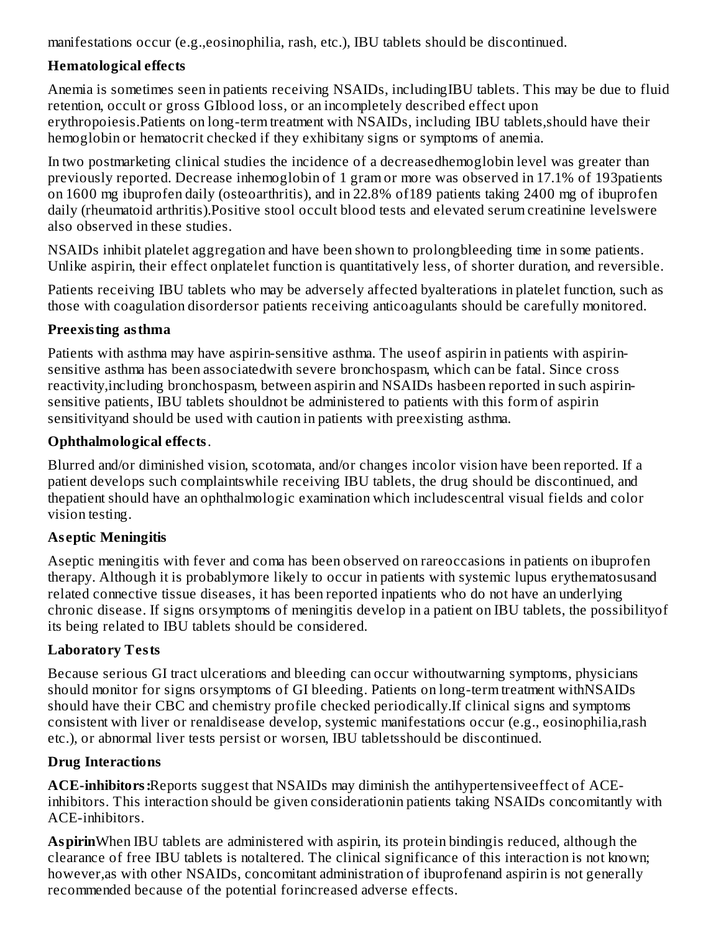manifestations occur (e.g.,eosinophilia, rash, etc.), IBU tablets should be discontinued.

### **Hematological effects**

Anemia is sometimes seen in patients receiving NSAIDs, includingIBU tablets. This may be due to fluid retention, occult or gross GIblood loss, or an incompletely described effect upon erythropoiesis.Patients on long-term treatment with NSAIDs, including IBU tablets,should have their hemoglobin or hematocrit checked if they exhibitany signs or symptoms of anemia.

In two postmarketing clinical studies the incidence of a decreasedhemoglobin level was greater than previously reported. Decrease inhemoglobin of 1 gram or more was observed in 17.1% of 193patients on 1600 mg ibuprofen daily (osteoarthritis), and in 22.8% of189 patients taking 2400 mg of ibuprofen daily (rheumatoid arthritis).Positive stool occult blood tests and elevated serum creatinine levelswere also observed in these studies.

NSAIDs inhibit platelet aggregation and have been shown to prolongbleeding time in some patients. Unlike aspirin, their effect onplatelet function is quantitatively less, of shorter duration, and reversible.

Patients receiving IBU tablets who may be adversely affected byalterations in platelet function, such as those with coagulation disordersor patients receiving anticoagulants should be carefully monitored.

### **Preexisting asthma**

Patients with asthma may have aspirin-sensitive asthma. The useof aspirin in patients with aspirinsensitive asthma has been associatedwith severe bronchospasm, which can be fatal. Since cross reactivity,including bronchospasm, between aspirin and NSAIDs hasbeen reported in such aspirinsensitive patients, IBU tablets shouldnot be administered to patients with this form of aspirin sensitivityand should be used with caution in patients with preexisting asthma.

### **Ophthalmological effects**.

Blurred and/or diminished vision, scotomata, and/or changes incolor vision have been reported. If a patient develops such complaintswhile receiving IBU tablets, the drug should be discontinued, and thepatient should have an ophthalmologic examination which includescentral visual fields and color vision testing.

## **As eptic Meningitis**

Aseptic meningitis with fever and coma has been observed on rareoccasions in patients on ibuprofen therapy. Although it is probablymore likely to occur in patients with systemic lupus erythematosusand related connective tissue diseases, it has been reported inpatients who do not have an underlying chronic disease. If signs orsymptoms of meningitis develop in a patient on IBU tablets, the possibilityof its being related to IBU tablets should be considered.

## **Laboratory Tests**

Because serious GI tract ulcerations and bleeding can occur withoutwarning symptoms, physicians should monitor for signs orsymptoms of GI bleeding. Patients on long-term treatment withNSAIDs should have their CBC and chemistry profile checked periodically.If clinical signs and symptoms consistent with liver or renaldisease develop, systemic manifestations occur (e.g., eosinophilia,rash etc.), or abnormal liver tests persist or worsen, IBU tabletsshould be discontinued.

## **Drug Interactions**

**ACE-inhibitors:**Reports suggest that NSAIDs may diminish the antihypertensiveeffect of ACEinhibitors. This interaction should be given considerationin patients taking NSAIDs concomitantly with ACE-inhibitors.

**Aspirin**When IBU tablets are administered with aspirin, its protein bindingis reduced, although the clearance of free IBU tablets is notaltered. The clinical significance of this interaction is not known; however,as with other NSAIDs, concomitant administration of ibuprofenand aspirin is not generally recommended because of the potential forincreased adverse effects.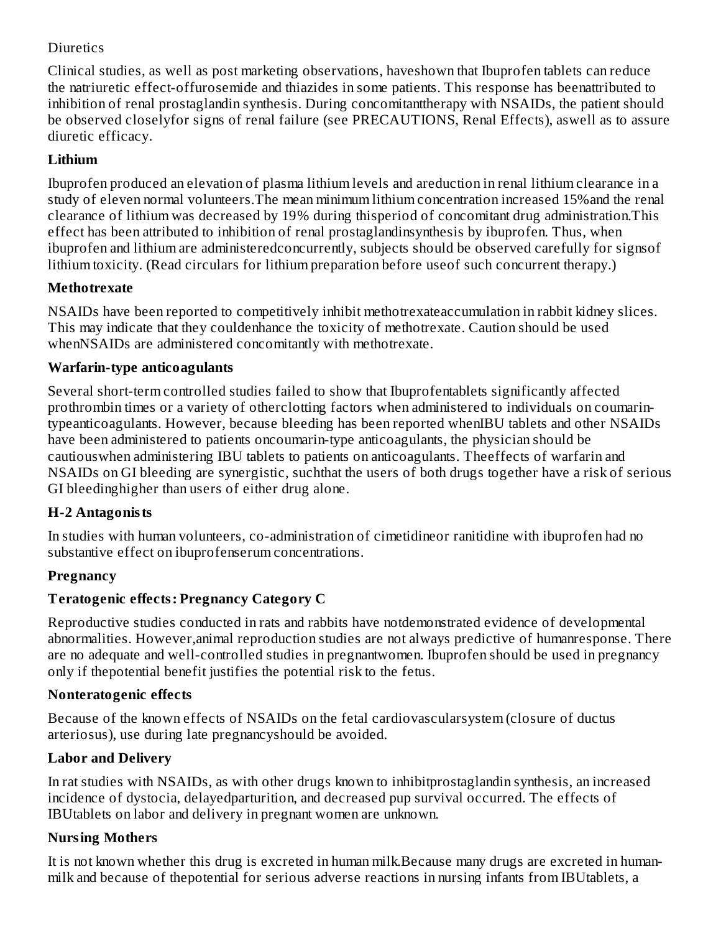#### **Diuretics**

Clinical studies, as well as post marketing observations, haveshown that Ibuprofen tablets can reduce the natriuretic effect-offurosemide and thiazides in some patients. This response has beenattributed to inhibition of renal prostaglandin synthesis. During concomitanttherapy with NSAIDs, the patient should be observed closelyfor signs of renal failure (see PRECAUTIONS, Renal Effects), aswell as to assure diuretic efficacy.

### **Lithium**

Ibuprofen produced an elevation of plasma lithium levels and areduction in renal lithium clearance in a study of eleven normal volunteers.The mean minimum lithium concentration increased 15%and the renal clearance of lithium was decreased by 19% during thisperiod of concomitant drug administration.This effect has been attributed to inhibition of renal prostaglandinsynthesis by ibuprofen. Thus, when ibuprofen and lithium are administeredconcurrently, subjects should be observed carefully for signsof lithium toxicity. (Read circulars for lithium preparation before useof such concurrent therapy.)

#### **Methotrexate**

NSAIDs have been reported to competitively inhibit methotrexateaccumulation in rabbit kidney slices. This may indicate that they couldenhance the toxicity of methotrexate. Caution should be used whenNSAIDs are administered concomitantly with methotrexate.

#### **Warfarin-type anticoagulants**

Several short-term controlled studies failed to show that Ibuprofentablets significantly affected prothrombin times or a variety of otherclotting factors when administered to individuals on coumarintypeanticoagulants. However, because bleeding has been reported whenIBU tablets and other NSAIDs have been administered to patients oncoumarin-type anticoagulants, the physician should be cautiouswhen administering IBU tablets to patients on anticoagulants. Theeffects of warfarin and NSAIDs on GI bleeding are synergistic, suchthat the users of both drugs together have a risk of serious GI bleedinghigher than users of either drug alone.

### **H-2 Antagonists**

In studies with human volunteers, co-administration of cimetidineor ranitidine with ibuprofen had no substantive effect on ibuprofenserum concentrations.

### **Pregnancy**

### **Teratogenic effects: Pregnancy Category C**

Reproductive studies conducted in rats and rabbits have notdemonstrated evidence of developmental abnormalities. However,animal reproduction studies are not always predictive of humanresponse. There are no adequate and well-controlled studies in pregnantwomen. Ibuprofen should be used in pregnancy only if thepotential benefit justifies the potential risk to the fetus.

### **Nonteratogenic effects**

Because of the known effects of NSAIDs on the fetal cardiovascularsystem (closure of ductus arteriosus), use during late pregnancyshould be avoided.

### **Labor and Delivery**

In rat studies with NSAIDs, as with other drugs known to inhibitprostaglandin synthesis, an increased incidence of dystocia, delayedparturition, and decreased pup survival occurred. The effects of IBUtablets on labor and delivery in pregnant women are unknown.

## **Nursing Mothers**

It is not known whether this drug is excreted in human milk.Because many drugs are excreted in humanmilk and because of thepotential for serious adverse reactions in nursing infants from IBUtablets, a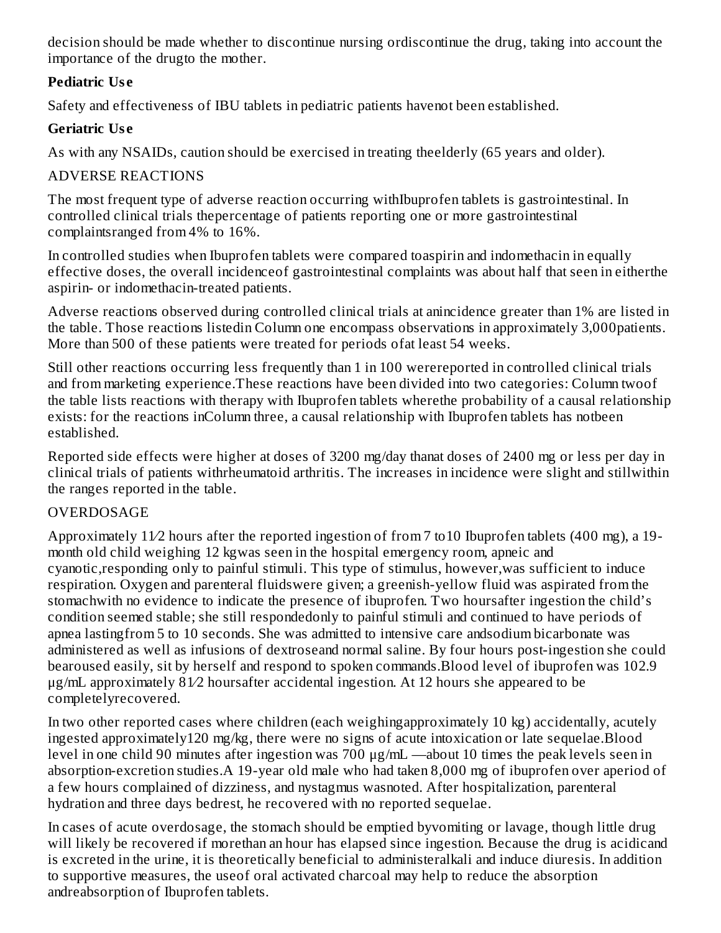decision should be made whether to discontinue nursing ordiscontinue the drug, taking into account the importance of the drugto the mother.

### **Pediatric Us e**

Safety and effectiveness of IBU tablets in pediatric patients havenot been established.

### **Geriatric Us e**

As with any NSAIDs, caution should be exercised in treating theelderly (65 years and older).

### ADVERSE REACTIONS

The most frequent type of adverse reaction occurring withIbuprofen tablets is gastrointestinal. In controlled clinical trials thepercentage of patients reporting one or more gastrointestinal complaintsranged from 4% to 16%.

In controlled studies when Ibuprofen tablets were compared toaspirin and indomethacin in equally effective doses, the overall incidenceof gastrointestinal complaints was about half that seen in eitherthe aspirin- or indomethacin-treated patients.

Adverse reactions observed during controlled clinical trials at anincidence greater than 1% are listed in the table. Those reactions listedin Column one encompass observations in approximately 3,000patients. More than 500 of these patients were treated for periods ofat least 54 weeks.

Still other reactions occurring less frequently than 1 in 100 werereported in controlled clinical trials and from marketing experience.These reactions have been divided into two categories: Column twoof the table lists reactions with therapy with Ibuprofen tablets wherethe probability of a causal relationship exists: for the reactions inColumn three, a causal relationship with Ibuprofen tablets has notbeen established.

Reported side effects were higher at doses of 3200 mg/day thanat doses of 2400 mg or less per day in clinical trials of patients withrheumatoid arthritis. The increases in incidence were slight and stillwithin the ranges reported in the table.

### **OVERDOSAGE**

Approximately 11⁄2 hours after the reported ingestion of from 7 to10 Ibuprofen tablets (400 mg), a 19 month old child weighing 12 kgwas seen in the hospital emergency room, apneic and cyanotic,responding only to painful stimuli. This type of stimulus, however,was sufficient to induce respiration. Oxygen and parenteral fluidswere given; a greenish-yellow fluid was aspirated from the stomachwith no evidence to indicate the presence of ibuprofen. Two hoursafter ingestion the child's condition seemed stable; she still respondedonly to painful stimuli and continued to have periods of apnea lastingfrom 5 to 10 seconds. She was admitted to intensive care andsodium bicarbonate was administered as well as infusions of dextroseand normal saline. By four hours post-ingestion she could bearoused easily, sit by herself and respond to spoken commands.Blood level of ibuprofen was 102.9 μg/mL approximately 81⁄2 hoursafter accidental ingestion. At 12 hours she appeared to be completelyrecovered.

In two other reported cases where children (each weighingapproximately 10 kg) accidentally, acutely ingested approximately120 mg/kg, there were no signs of acute intoxication or late sequelae.Blood level in one child 90 minutes after ingestion was 700 μg/mL —about 10 times the peak levels seen in absorption-excretion studies.A 19-year old male who had taken 8,000 mg of ibuprofen over aperiod of a few hours complained of dizziness, and nystagmus wasnoted. After hospitalization, parenteral hydration and three days bedrest, he recovered with no reported sequelae.

In cases of acute overdosage, the stomach should be emptied byvomiting or lavage, though little drug will likely be recovered if morethan an hour has elapsed since ingestion. Because the drug is acidicand is excreted in the urine, it is theoretically beneficial to administeralkali and induce diuresis. In addition to supportive measures, the useof oral activated charcoal may help to reduce the absorption andreabsorption of Ibuprofen tablets.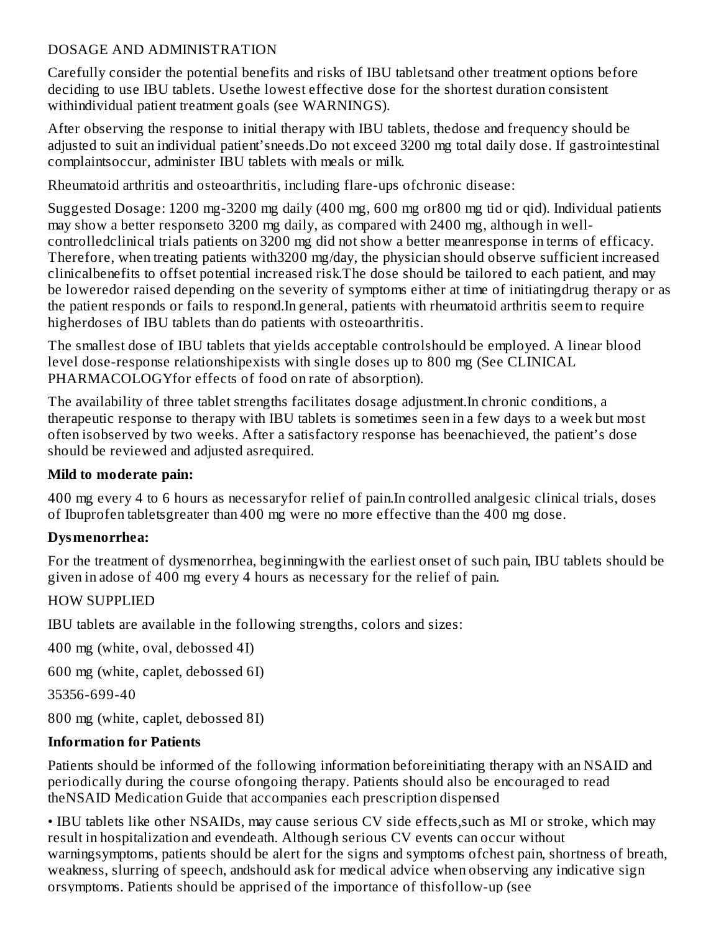#### DOSAGE AND ADMINISTRATION

Carefully consider the potential benefits and risks of IBU tabletsand other treatment options before deciding to use IBU tablets. Usethe lowest effective dose for the shortest duration consistent withindividual patient treatment goals (see WARNINGS).

After observing the response to initial therapy with IBU tablets, thedose and frequency should be adjusted to suit an individual patient'sneeds.Do not exceed 3200 mg total daily dose. If gastrointestinal complaintsoccur, administer IBU tablets with meals or milk.

Rheumatoid arthritis and osteoarthritis, including flare-ups ofchronic disease:

Suggested Dosage: 1200 mg-3200 mg daily (400 mg, 600 mg or800 mg tid or qid). Individual patients may show a better responseto 3200 mg daily, as compared with 2400 mg, although in wellcontrolledclinical trials patients on 3200 mg did not show a better meanresponse in terms of efficacy. Therefore, when treating patients with3200 mg/day, the physician should observe sufficient increased clinicalbenefits to offset potential increased risk.The dose should be tailored to each patient, and may be loweredor raised depending on the severity of symptoms either at time of initiatingdrug therapy or as the patient responds or fails to respond.In general, patients with rheumatoid arthritis seem to require higherdoses of IBU tablets than do patients with osteoarthritis.

The smallest dose of IBU tablets that yields acceptable controlshould be employed. A linear blood level dose-response relationshipexists with single doses up to 800 mg (See CLINICAL PHARMACOLOGYfor effects of food on rate of absorption).

The availability of three tablet strengths facilitates dosage adjustment.In chronic conditions, a therapeutic response to therapy with IBU tablets is sometimes seen in a few days to a week but most often isobserved by two weeks. After a satisfactory response has beenachieved, the patient's dose should be reviewed and adjusted asrequired.

#### **Mild to moderate pain:**

400 mg every 4 to 6 hours as necessaryfor relief of pain.In controlled analgesic clinical trials, doses of Ibuprofen tabletsgreater than 400 mg were no more effective than the 400 mg dose.

## **Dysmenorrhea:**

For the treatment of dysmenorrhea, beginningwith the earliest onset of such pain, IBU tablets should be given in adose of 400 mg every 4 hours as necessary for the relief of pain.

### HOW SUPPLIED

IBU tablets are available in the following strengths, colors and sizes:

400 mg (white, oval, debossed 4I)

600 mg (white, caplet, debossed 6I)

35356-699-40

800 mg (white, caplet, debossed 8I)

### **Information for Patients**

Patients should be informed of the following information beforeinitiating therapy with an NSAID and periodically during the course ofongoing therapy. Patients should also be encouraged to read theNSAID Medication Guide that accompanies each prescription dispensed

• IBU tablets like other NSAIDs, may cause serious CV side effects,such as MI or stroke, which may result in hospitalization and evendeath. Although serious CV events can occur without warningsymptoms, patients should be alert for the signs and symptoms ofchest pain, shortness of breath, weakness, slurring of speech, andshould ask for medical advice when observing any indicative sign orsymptoms. Patients should be apprised of the importance of thisfollow-up (see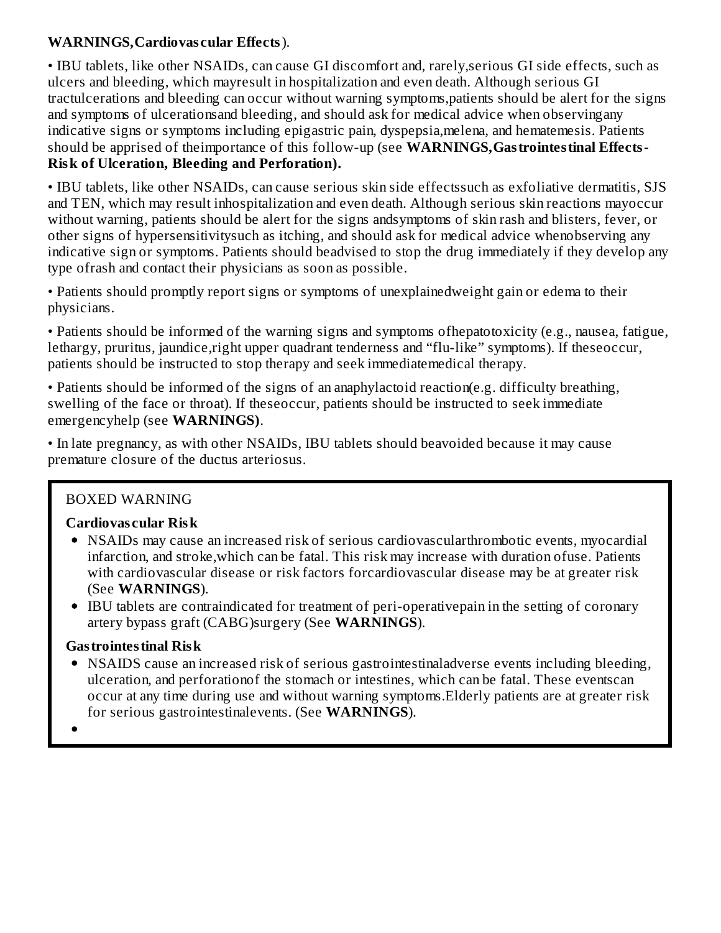#### **WARNINGS,Cardiovas cular Effects**).

• IBU tablets, like other NSAIDs, can cause GI discomfort and, rarely,serious GI side effects, such as ulcers and bleeding, which mayresult in hospitalization and even death. Although serious GI tractulcerations and bleeding can occur without warning symptoms,patients should be alert for the signs and symptoms of ulcerationsand bleeding, and should ask for medical advice when observingany indicative signs or symptoms including epigastric pain, dyspepsia,melena, and hematemesis. Patients should be apprised of theimportance of this follow-up (see **WARNINGS,Gastrointestinal Effects-Risk of Ulceration, Bleeding and Perforation).**

• IBU tablets, like other NSAIDs, can cause serious skin side effectssuch as exfoliative dermatitis, SJS and TEN, which may result inhospitalization and even death. Although serious skin reactions mayoccur without warning, patients should be alert for the signs andsymptoms of skin rash and blisters, fever, or other signs of hypersensitivitysuch as itching, and should ask for medical advice whenobserving any indicative sign or symptoms. Patients should beadvised to stop the drug immediately if they develop any type ofrash and contact their physicians as soon as possible.

• Patients should promptly report signs or symptoms of unexplainedweight gain or edema to their physicians.

• Patients should be informed of the warning signs and symptoms ofhepatotoxicity (e.g., nausea, fatigue, lethargy, pruritus, jaundice,right upper quadrant tenderness and "flu-like" symptoms). If theseoccur, patients should be instructed to stop therapy and seek immediatemedical therapy.

• Patients should be informed of the signs of an anaphylactoid reaction(e.g. difficulty breathing, swelling of the face or throat). If theseoccur, patients should be instructed to seek immediate emergencyhelp (see **WARNINGS)**.

• In late pregnancy, as with other NSAIDs, IBU tablets should beavoided because it may cause premature closure of the ductus arteriosus.

## BOXED WARNING

**Cardiovas cular Risk**

- NSAIDs may cause an increased risk of serious cardiovascularthrombotic events, myocardial infarction, and stroke,which can be fatal. This risk may increase with duration ofuse. Patients with cardiovascular disease or risk factors forcardiovascular disease may be at greater risk (See **WARNINGS**).
- IBU tablets are contraindicated for treatment of peri-operativepain in the setting of coronary artery bypass graft (CABG)surgery (See **WARNINGS**).

#### **Gastrointestinal Risk**

• NSAIDS cause an increased risk of serious gastrointestinaladverse events including bleeding, ulceration, and perforationof the stomach or intestines, which can be fatal. These eventscan occur at any time during use and without warning symptoms.Elderly patients are at greater risk for serious gastrointestinalevents. (See **WARNINGS**).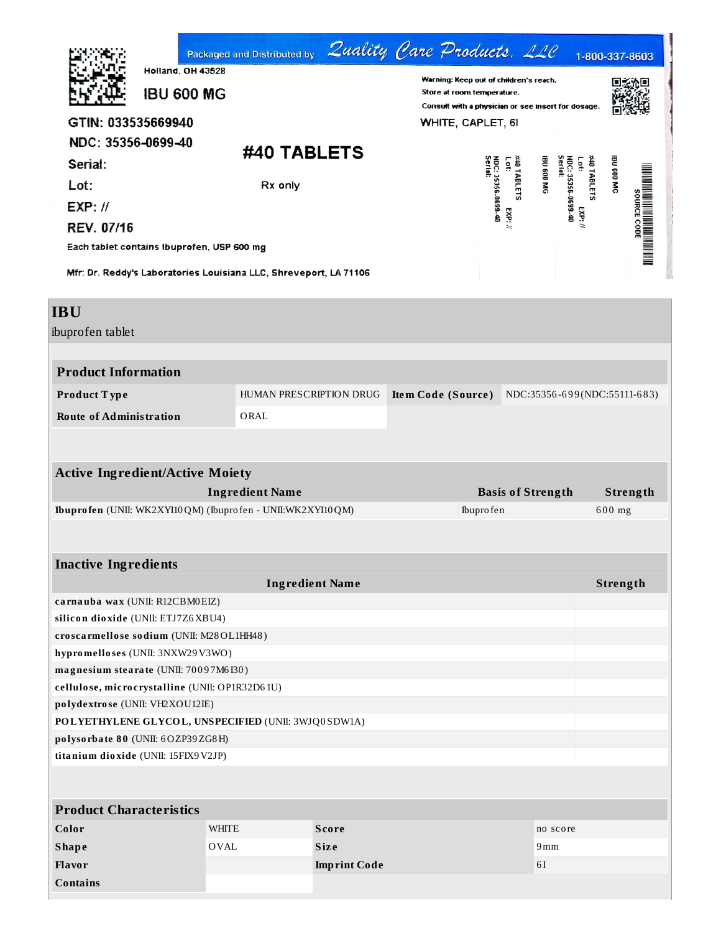| Holland, OH 43528<br>Warning: Keep out of children's reach.<br><b>IBU 600 MG</b><br>Store at room temperature.<br>Consult with a physician or see insert for dosage.<br>GTIN: 033535669940<br>WHITE, CAPLET, 61<br>NDC: 35356-0699-40<br>#40 TABLETS<br><b>BU 600 MG</b><br>NDC: 35356-0699-40<br>Serial:<br>NDC: 35356-0699-40<br>Serial:<br>#40 TABLETS<br>Lot:<br><b>BU 600 MG</b><br>#40 TABLETS<br>Lot<br>Serial:<br>Lot:<br>Rx only<br>EXP: H<br>EXP:<br>$kkP: \theta$<br><b>REV. 07/16</b><br>Each tablet contains Ibuprofen, USP 600 mg<br>Mfr: Dr. Reddy's Laboratories Louisiana LLC, Shreveport, LA 71106<br>ibuprofen tablet<br><b>Product Information</b><br>HUMAN PRESCRIPTION DRUG<br>Item Code (Source)<br>NDC:35356-699(NDC:55111-683)<br>Product Type<br><b>Route of Administration</b><br>ORAL<br><b>Active Ingredient/Active Moiety</b><br><b>Ingredient Name</b><br><b>Basis of Strength</b><br>Strength<br>Ibuprofen (UNII: WK2XYI10QM) (Ibuprofen - UNII:WK2XYI10QM)<br>Ibupro fen<br>600 mg<br><b>Inactive Ingredients</b><br><b>Ingredient Name</b><br>Strength<br>carnauba wax (UNII: R12CBM0EIZ)<br>silicon dioxide (UNII: ETJ7Z6XBU4)<br>croscarmellose sodium (UNII: M28OL1HH48) |  |  |  |  |  |  |
|---------------------------------------------------------------------------------------------------------------------------------------------------------------------------------------------------------------------------------------------------------------------------------------------------------------------------------------------------------------------------------------------------------------------------------------------------------------------------------------------------------------------------------------------------------------------------------------------------------------------------------------------------------------------------------------------------------------------------------------------------------------------------------------------------------------------------------------------------------------------------------------------------------------------------------------------------------------------------------------------------------------------------------------------------------------------------------------------------------------------------------------------------------------------------------------------------------------|--|--|--|--|--|--|
| <b>IBU</b>                                                                                                                                                                                                                                                                                                                                                                                                                                                                                                                                                                                                                                                                                                                                                                                                                                                                                                                                                                                                                                                                                                                                                                                                    |  |  |  |  |  |  |
|                                                                                                                                                                                                                                                                                                                                                                                                                                                                                                                                                                                                                                                                                                                                                                                                                                                                                                                                                                                                                                                                                                                                                                                                               |  |  |  |  |  |  |
|                                                                                                                                                                                                                                                                                                                                                                                                                                                                                                                                                                                                                                                                                                                                                                                                                                                                                                                                                                                                                                                                                                                                                                                                               |  |  |  |  |  |  |
|                                                                                                                                                                                                                                                                                                                                                                                                                                                                                                                                                                                                                                                                                                                                                                                                                                                                                                                                                                                                                                                                                                                                                                                                               |  |  |  |  |  |  |
|                                                                                                                                                                                                                                                                                                                                                                                                                                                                                                                                                                                                                                                                                                                                                                                                                                                                                                                                                                                                                                                                                                                                                                                                               |  |  |  |  |  |  |
|                                                                                                                                                                                                                                                                                                                                                                                                                                                                                                                                                                                                                                                                                                                                                                                                                                                                                                                                                                                                                                                                                                                                                                                                               |  |  |  |  |  |  |
|                                                                                                                                                                                                                                                                                                                                                                                                                                                                                                                                                                                                                                                                                                                                                                                                                                                                                                                                                                                                                                                                                                                                                                                                               |  |  |  |  |  |  |
|                                                                                                                                                                                                                                                                                                                                                                                                                                                                                                                                                                                                                                                                                                                                                                                                                                                                                                                                                                                                                                                                                                                                                                                                               |  |  |  |  |  |  |
|                                                                                                                                                                                                                                                                                                                                                                                                                                                                                                                                                                                                                                                                                                                                                                                                                                                                                                                                                                                                                                                                                                                                                                                                               |  |  |  |  |  |  |
|                                                                                                                                                                                                                                                                                                                                                                                                                                                                                                                                                                                                                                                                                                                                                                                                                                                                                                                                                                                                                                                                                                                                                                                                               |  |  |  |  |  |  |
|                                                                                                                                                                                                                                                                                                                                                                                                                                                                                                                                                                                                                                                                                                                                                                                                                                                                                                                                                                                                                                                                                                                                                                                                               |  |  |  |  |  |  |
|                                                                                                                                                                                                                                                                                                                                                                                                                                                                                                                                                                                                                                                                                                                                                                                                                                                                                                                                                                                                                                                                                                                                                                                                               |  |  |  |  |  |  |
|                                                                                                                                                                                                                                                                                                                                                                                                                                                                                                                                                                                                                                                                                                                                                                                                                                                                                                                                                                                                                                                                                                                                                                                                               |  |  |  |  |  |  |
|                                                                                                                                                                                                                                                                                                                                                                                                                                                                                                                                                                                                                                                                                                                                                                                                                                                                                                                                                                                                                                                                                                                                                                                                               |  |  |  |  |  |  |
|                                                                                                                                                                                                                                                                                                                                                                                                                                                                                                                                                                                                                                                                                                                                                                                                                                                                                                                                                                                                                                                                                                                                                                                                               |  |  |  |  |  |  |
|                                                                                                                                                                                                                                                                                                                                                                                                                                                                                                                                                                                                                                                                                                                                                                                                                                                                                                                                                                                                                                                                                                                                                                                                               |  |  |  |  |  |  |
|                                                                                                                                                                                                                                                                                                                                                                                                                                                                                                                                                                                                                                                                                                                                                                                                                                                                                                                                                                                                                                                                                                                                                                                                               |  |  |  |  |  |  |
|                                                                                                                                                                                                                                                                                                                                                                                                                                                                                                                                                                                                                                                                                                                                                                                                                                                                                                                                                                                                                                                                                                                                                                                                               |  |  |  |  |  |  |
|                                                                                                                                                                                                                                                                                                                                                                                                                                                                                                                                                                                                                                                                                                                                                                                                                                                                                                                                                                                                                                                                                                                                                                                                               |  |  |  |  |  |  |
|                                                                                                                                                                                                                                                                                                                                                                                                                                                                                                                                                                                                                                                                                                                                                                                                                                                                                                                                                                                                                                                                                                                                                                                                               |  |  |  |  |  |  |
|                                                                                                                                                                                                                                                                                                                                                                                                                                                                                                                                                                                                                                                                                                                                                                                                                                                                                                                                                                                                                                                                                                                                                                                                               |  |  |  |  |  |  |
|                                                                                                                                                                                                                                                                                                                                                                                                                                                                                                                                                                                                                                                                                                                                                                                                                                                                                                                                                                                                                                                                                                                                                                                                               |  |  |  |  |  |  |
|                                                                                                                                                                                                                                                                                                                                                                                                                                                                                                                                                                                                                                                                                                                                                                                                                                                                                                                                                                                                                                                                                                                                                                                                               |  |  |  |  |  |  |
|                                                                                                                                                                                                                                                                                                                                                                                                                                                                                                                                                                                                                                                                                                                                                                                                                                                                                                                                                                                                                                                                                                                                                                                                               |  |  |  |  |  |  |
|                                                                                                                                                                                                                                                                                                                                                                                                                                                                                                                                                                                                                                                                                                                                                                                                                                                                                                                                                                                                                                                                                                                                                                                                               |  |  |  |  |  |  |
| hypromelloses (UNII: 3NXW29V3WO)<br>magnesium stearate (UNII: 70097M6I30)                                                                                                                                                                                                                                                                                                                                                                                                                                                                                                                                                                                                                                                                                                                                                                                                                                                                                                                                                                                                                                                                                                                                     |  |  |  |  |  |  |
| cellulose, microcrystalline (UNII: OP1R32D61U)                                                                                                                                                                                                                                                                                                                                                                                                                                                                                                                                                                                                                                                                                                                                                                                                                                                                                                                                                                                                                                                                                                                                                                |  |  |  |  |  |  |
| polydextrose (UNII: VH2XOU12IE)                                                                                                                                                                                                                                                                                                                                                                                                                                                                                                                                                                                                                                                                                                                                                                                                                                                                                                                                                                                                                                                                                                                                                                               |  |  |  |  |  |  |
| POLYETHYLENE GLYCOL, UNSPECIFIED (UNII: 3WJQ0SDW1A)                                                                                                                                                                                                                                                                                                                                                                                                                                                                                                                                                                                                                                                                                                                                                                                                                                                                                                                                                                                                                                                                                                                                                           |  |  |  |  |  |  |
| polysorbate 80 (UNII: 6OZP39ZG8H)                                                                                                                                                                                                                                                                                                                                                                                                                                                                                                                                                                                                                                                                                                                                                                                                                                                                                                                                                                                                                                                                                                                                                                             |  |  |  |  |  |  |
| titanium dioxide (UNII: 15FIX9V2JP)                                                                                                                                                                                                                                                                                                                                                                                                                                                                                                                                                                                                                                                                                                                                                                                                                                                                                                                                                                                                                                                                                                                                                                           |  |  |  |  |  |  |
|                                                                                                                                                                                                                                                                                                                                                                                                                                                                                                                                                                                                                                                                                                                                                                                                                                                                                                                                                                                                                                                                                                                                                                                                               |  |  |  |  |  |  |
| <b>Product Characteristics</b>                                                                                                                                                                                                                                                                                                                                                                                                                                                                                                                                                                                                                                                                                                                                                                                                                                                                                                                                                                                                                                                                                                                                                                                |  |  |  |  |  |  |
|                                                                                                                                                                                                                                                                                                                                                                                                                                                                                                                                                                                                                                                                                                                                                                                                                                                                                                                                                                                                                                                                                                                                                                                                               |  |  |  |  |  |  |
| Color<br>WHITE<br><b>Score</b><br>no score                                                                                                                                                                                                                                                                                                                                                                                                                                                                                                                                                                                                                                                                                                                                                                                                                                                                                                                                                                                                                                                                                                                                                                    |  |  |  |  |  |  |
| <b>OVAL</b><br><b>Shape</b><br><b>Size</b><br>9 <sub>mm</sub>                                                                                                                                                                                                                                                                                                                                                                                                                                                                                                                                                                                                                                                                                                                                                                                                                                                                                                                                                                                                                                                                                                                                                 |  |  |  |  |  |  |
| Flavor<br><b>Imprint Code</b><br>61                                                                                                                                                                                                                                                                                                                                                                                                                                                                                                                                                                                                                                                                                                                                                                                                                                                                                                                                                                                                                                                                                                                                                                           |  |  |  |  |  |  |